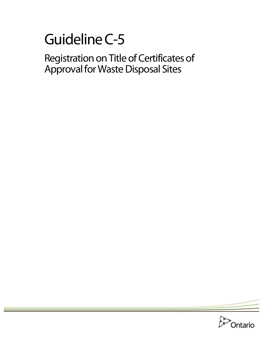# Guideline C-5

Registration on Title of Certificates of Approval for Waste Disposal Sites

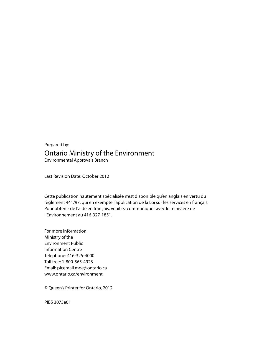Prepared by: Ontario Ministry of the Environment Environmental Approvals Branch

Last Revision Date: October 2012

Cette publication hautement spécialisée n'est disponible qu'en anglais en vertu du règlement 441/97, qui en exempte l'application de la Loi sur les services en français. Pour obtenir de l'aide en français, veuillez communiquer avec le ministère de l'Environnement au 416-327-1851.

For more information: Ministry of the Environment Public Information Centre Telephone: 416-325-4000 Toll free: 1-800-565-4923 Email: picemail.moe@ontario.c[a](http://www.ontario.ca/environment) [www.ontario.ca/environment](http://www.ontario.ca/environment) 

© Queen's Printer for Ontario, 2012

PIBS 3073e01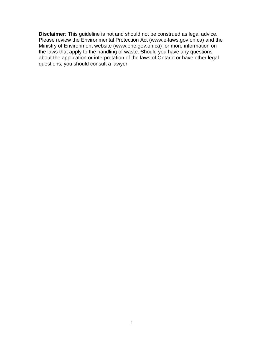**Disclaimer**: This guideline is not and should not be construed as legal advice. Please review the Environmental Protection Act (www.e-laws.gov.on.ca) and the Ministry of Environment website (www.ene.gov.on.ca) for more information on the laws that apply to the handling of waste. Should you have any questions about the application or interpretation of the laws of Ontario or have other legal questions, you should consult a lawyer.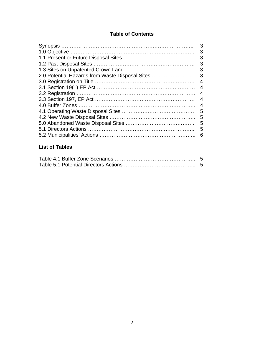# **Table of Contents**

|                                                 | 3 |
|-------------------------------------------------|---|
|                                                 | 3 |
|                                                 | 3 |
|                                                 | 3 |
|                                                 | 3 |
| 2.0 Potential Hazards from Waste Disposal Sites | 3 |
|                                                 | 4 |
|                                                 | 4 |
|                                                 | 4 |
|                                                 | 4 |
|                                                 | 4 |
|                                                 | 5 |
|                                                 | 5 |
|                                                 | 5 |
|                                                 | 5 |
|                                                 | 6 |
|                                                 |   |

# **List of Tables**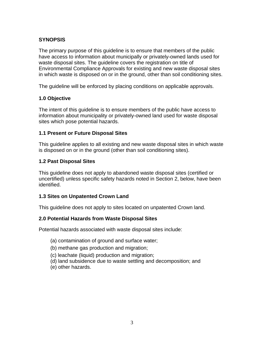# **SYNOPSIS**

The primary purpose of this guideline is to ensure that members of the public have access to information about municipally or privately-owned lands used for waste disposal sites. The guideline covers the registration on title of Environmental Compliance Approvals for existing and new waste disposal sites in which waste is disposed on or in the ground, other than soil conditioning sites.

The guideline will be enforced by placing conditions on applicable approvals.

#### **1.0 Objective**

The intent of this guideline is to ensure members of the public have access to information about municipality or privately-owned land used for waste disposal sites which pose potential hazards.

#### **1.1 Present or Future Disposal Sites**

This guideline applies to all existing and new waste disposal sites in which waste is disposed on or in the ground (other than soil conditioning sites).

#### **1.2 Past Disposal Sites**

This guideline does not apply to abandoned waste disposal sites (certified or uncertified) unless specific safety hazards noted in Section 2, below, have been identified.

#### **1.3 Sites on Unpatented Crown Land**

This guideline does not apply to sites located on unpatented Crown land.

#### **2.0 Potential Hazards from Waste Disposal Sites**

Potential hazards associated with waste disposal sites include:

- (a) contamination of ground and surface water;
- (b) methane gas production and migration;
- (c) leachate (liquid) production and migration;
- (d) land subsidence due to waste settling and decomposition; and
- (e) other hazards.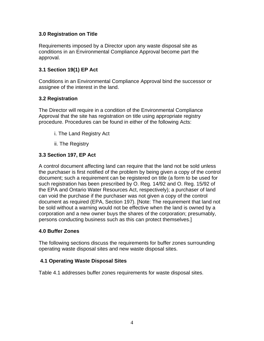# **3.0 Registration on Title**

Requirements imposed by a Director upon any waste disposal site as conditions in an Environmental Compliance Approval become part the approval.

#### **3.1 Section 19(1) EP Act**

Conditions in an Environmental Compliance Approval bind the successor or assignee of the interest in the land.

#### **3.2 Registration**

The Director will require in a condition of the Environmental Compliance Approval that the site has registration on title using appropriate registry procedure. Procedures can be found in either of the following Acts:

- i. The Land Registry Act
- ii. The Registry

# **3.3 Section 197, EP Act**

A control document affecting land can require that the land not be sold unless the purchaser is first notified of the problem by being given a copy of the control document; such a requirement can be registered on title (a form to be used for such registration has been prescribed by O. Reg. 14/92 and O. Reg. 15/92 of the EPA and Ontario Water Resources Act, respectively); a purchaser of land can void the purchase if the purchaser was not given a copy of the control document as required (EPA, Section 197). [Note: The requirement that land not be sold without a warning would not be effective when the land is owned by a corporation and a new owner buys the shares of the corporation; presumably, persons conducting business such as this can protect themselves.]

#### **4.0 Buffer Zones**

The following sections discuss the requirements for buffer zones surrounding operating waste disposal sites and new waste disposal sites.

#### **4.1 Operating Waste Disposal Sites**

Table 4.1 addresses buffer zones requirements for waste disposal sites.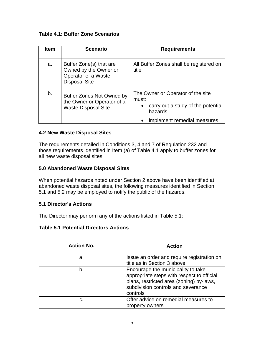**Table 4.1: Buffer Zone Scenarios** 

| <b>Item</b> | <b>Scenario</b>                                                                                 | <b>Requirements</b>                                                                                                                     |
|-------------|-------------------------------------------------------------------------------------------------|-----------------------------------------------------------------------------------------------------------------------------------------|
| a.          | Buffer Zone(s) that are<br>Owned by the Owner or<br>Operator of a Waste<br><b>Disposal Site</b> | All Buffer Zones shall be registered on<br>title                                                                                        |
| b.          | <b>Buffer Zones Not Owned by</b><br>the Owner or Operator of a<br><b>Waste Disposal Site</b>    | The Owner or Operator of the site<br>must:<br>carry out a study of the potential<br>$\bullet$<br>hazards<br>implement remedial measures |

# **4.2 New Waste Disposal Sites**

The requirements detailed in Conditions 3, 4 and 7 of Regulation 232 and those requirements identified in Item (a) of Table 4.1 apply to buffer zones for all new waste disposal sites.

# **5.0 Abandoned Waste Disposal Sites**

When potential hazards noted under Section 2 above have been identified at abandoned waste disposal sites, the following measures identified in Section 5.1 and 5.2 may be employed to notify the public of the hazards.

# **5.1 Director's Actions**

The Director may perform any of the actions listed in Table 5.1:

#### **Table 5.1 Potential Directors Actions**

| <b>Action No.</b> | <b>Action</b>                                                                                                                                                                  |
|-------------------|--------------------------------------------------------------------------------------------------------------------------------------------------------------------------------|
| a.                | Issue an order and require registration on<br>title as in Section 3 above                                                                                                      |
| b.                | Encourage the municipality to take<br>appropriate steps with respect to official<br>plans, restricted area (zoning) by-laws,<br>subdivision controls and severance<br>controls |
| C.                | Offer advice on remedial measures to<br>property owners                                                                                                                        |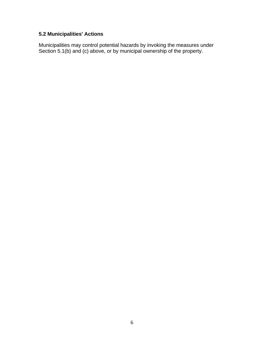# **5.2 Municipalities' Actions**

Municipalities may control potential hazards by invoking the measures under Section 5.1(b) and (c) above, or by municipal ownership of the property.